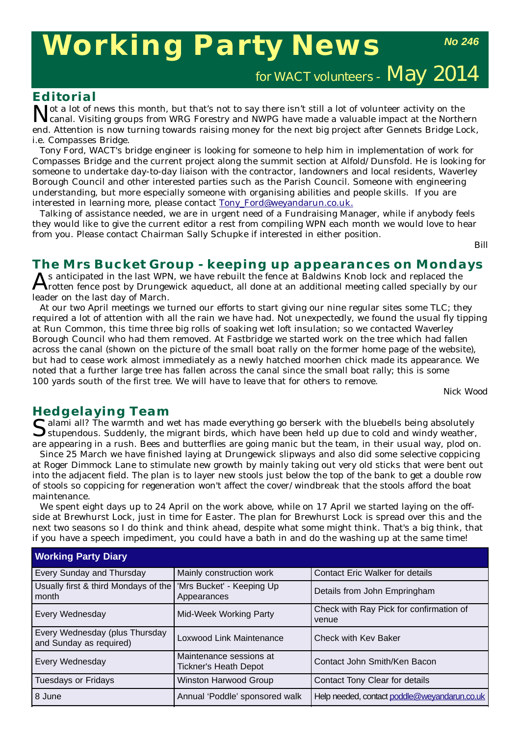# **Working Party News**

*No 246*

for WACT volunteers - May 2014

#### **Editorial**

Tot a lot of news this month, but that's not to say there isn't still a lot of volunteer activity on the canal. Visiting groups from WRG Forestry and NWPG have made a valuable impact at the Northern end. Attention is now turning towards raising money for the next big project after Gennets Bridge Lock, i.e. Compasses Bridge.

Tony Ford, WACT's bridge engineer is looking for someone to help him in implementation of work for Compasses Bridge and the current project along the summit section at Alfold/Dunsfold. He is looking for someone to undertake day-to-day liaison with the contractor, landowners and local residents, Waverley Borough Council and other interested parties such as the Parish Council. Someone with engineering understanding, but more especially someone with organising abilities and people skills. If you are interested in learning more, please contact Tony Ford@weyandarun.co.uk.

Talking of assistance needed, we are in urgent need of a Fundraising Manager, while if anybody feels they would like to give the current editor a rest from compiling WPN each month we would love to hear from you. Please contact Chairman Sally Schupke if interested in either position.

*Bill*

## **The Mrs Bucket Group - keeping up appearances on Mondays**<br>
A s anticipated in the last WPN, we have rebuilt the fence at Baldwins Knob lock and replaced the

 $A$ s anticipated in the last WPN, we have rebuilt the fence at  $\tilde{B}$ aldwins Knob lock and replaced the  $\tilde{A}$  rotten fence post by Drungewick aqueduct, all done at an additional meeting called specially by our leader on the last day of March.

At our two April meetings we turned our efforts to start giving our nine regular sites some TLC; they required a lot of attention with all the rain we have had. Not unexpectedly, we found the usual fly tipping at Run Common, this time three big rolls of soaking wet loft insulation; so we contacted Waverley Borough Council who had them removed. At Fastbridge we started work on the tree which had fallen across the canal (shown on the picture of the small boat rally on the former home page of the website), but had to cease work almost immediately as a newly hatched moorhen chick made its appearance. We noted that a further large tree has fallen across the canal since the small boat rally; this is some 100 yards south of the first tree. We will have to leave that for others to remove.

*Nick Wood*

**Hedgelaying Team**<br> **C** alami all? The warmth and wet has made everything go berserk with the bluebells being absolutely Salami all? The warmth and wet has made everything go berserk with the bluebells being absolutely<br>Stupendous. Suddenly, the migrant birds, which have been held up due to cold and windy weather, are appearing in a rush. Bees and butterflies are going manic but the team, in their usual way, plod on.

Since 25 March we have finished laying at Drungewick slipways and also did some selective coppicing at Roger Dimmock Lane to stimulate new growth by mainly taking out very old sticks that were bent out into the adjacent field. The plan is to layer new stools just below the top of the bank to get a double row of stools so coppicing for regeneration won't affect the cover/windbreak that the stools afford the boat maintenance.

We spent eight days up to 24 April on the work above, while on 17 April we started laying on the offside at Brewhurst Lock, just in time for Easter. The plan for Brewhurst Lock is spread over this and the next two seasons so I do think and think ahead, despite what some might think. That's a big think, that if you have a speech impediment, you could have a bath in and do the washing up at the same time!

| <b>Working Party Diary</b>                                                |                                                         |                                                  |  |  |
|---------------------------------------------------------------------------|---------------------------------------------------------|--------------------------------------------------|--|--|
| Every Sunday and Thursday                                                 | Mainly construction work                                | <b>Contact Eric Walker for details</b>           |  |  |
| Usually first & third Mondays of the   'Mrs Bucket' - Keeping Up<br>month | Appearances                                             | Details from John Empringham                     |  |  |
| Every Wednesday                                                           | Mid-Week Working Party                                  | Check with Ray Pick for confirmation of<br>venue |  |  |
| Every Wednesday (plus Thursday<br>and Sunday as required)                 | Loxwood Link Maintenance                                | Check with Key Baker                             |  |  |
| Every Wednesday                                                           | Maintenance sessions at<br><b>Tickner's Heath Depot</b> | Contact John Smith/Ken Bacon                     |  |  |
| <b>Tuesdays or Fridays</b>                                                | <b>Winston Harwood Group</b>                            | Contact Tony Clear for details                   |  |  |
| 8 June                                                                    | Annual 'Poddle' sponsored walk                          | Help needed, contact poddle@weyandarun.co.uk     |  |  |